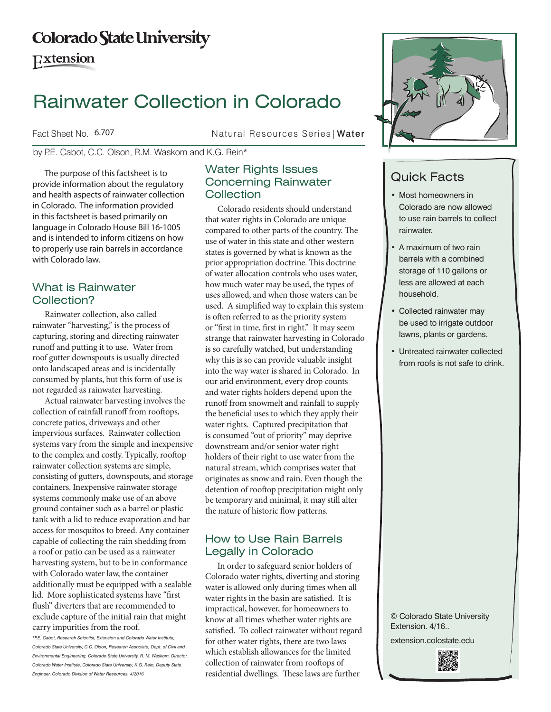# **Colorado State University**

**Extension** 

# Rainwater Collection in Colorado

Fact Sheet No. 6.707

Natural Resources Series | Water

by P.E. Cabot, C.C. Olson, R.M. Waskom and K.G. Rein\*

The purpose of this factsheet is to provide information about the regulatory and health aspects of rainwater collection in Colorado. The information provided in this factsheet is based primarily on language in Colorado House Bill 16-1005 and is intended to inform citizens on how to properly use rain barrels in accordance with Colorado law.

# What is Rainwater Collection?

Rainwater collection, also called rainwater "harvesting," is the process of capturing, storing and directing rainwater runoff and putting it to use. Water from roof gutter downspouts is usually directed onto landscaped areas and is incidentally consumed by plants, but this form of use is not regarded as rainwater harvesting.

Actual rainwater harvesting involves the collection of rainfall runoff from rooftops, concrete patios, driveways and other impervious surfaces. Rainwater collection systems vary from the simple and inexpensive to the complex and costly. Typically, rooftop rainwater collection systems are simple, consisting of gutters, downspouts, and storage containers. Inexpensive rainwater storage systems commonly make use of an above ground container such as a barrel or plastic tank with a lid to reduce evaporation and bar access for mosquitos to breed. Any container capable of collecting the rain shedding from a roof or patio can be used as a rainwater harvesting system, but to be in conformance with Colorado water law, the container additionally must be equipped with a sealable lid. More sophisticated systems have "first flush" diverters that are recommended to exclude capture of the initial rain that might carry impurities from the roof.

*\*P.E. Cabot, Research Scientist, Extension and Colorado Water Institute, Colorado State University, C.C. Olson, Research Associate, Dept. of Civil and Environmental Engineering, Colorado State University, R. M. Waskom, Director, Colorado Water Institute, Colorado State University, K.G. Rein, Deputy State Engineer, Colorado Division of Water Resources, 4/2016*

# Water Rights Issues Concerning Rainwater **Collection**

Colorado residents should understand that water rights in Colorado are unique compared to other parts of the country. The use of water in this state and other western states is governed by what is known as the prior appropriation doctrine. This doctrine of water allocation controls who uses water, how much water may be used, the types of uses allowed, and when those waters can be used. A simplified way to explain this system is often referred to as the priority system or "first in time, first in right." It may seem strange that rainwater harvesting in Colorado is so carefully watched, but understanding why this is so can provide valuable insight into the way water is shared in Colorado. In our arid environment, every drop counts and water rights holders depend upon the runoff from snowmelt and rainfall to supply the beneficial uses to which they apply their water rights. Captured precipitation that is consumed "out of priority" may deprive downstream and/or senior water right holders of their right to use water from the natural stream, which comprises water that originates as snow and rain. Even though the detention of rooftop precipitation might only be temporary and minimal, it may still alter the nature of historic flow patterns.

# How to Use Rain Barrels Legally in Colorado

In order to safeguard senior holders of Colorado water rights, diverting and storing water is allowed only during times when all water rights in the basin are satisfied. It is impractical, however, for homeowners to know at all times whether water rights are satisfied. To collect rainwater without regard for other water rights, there are two laws which establish allowances for the limited collection of rainwater from rooftops of residential dwellings. These laws are further



# Quick Facts

- Most homeowners in Colorado are now allowed to use rain barrels to collect rainwater.
- A maximum of two rain barrels with a combined storage of 110 gallons or less are allowed at each household.
- Collected rainwater may be used to irrigate outdoor lawns, plants or gardens.
- Untreated rainwater collected from roofs is not safe to drink.

© Colorado State University Extension. 4/16..

extension.colostate.edu

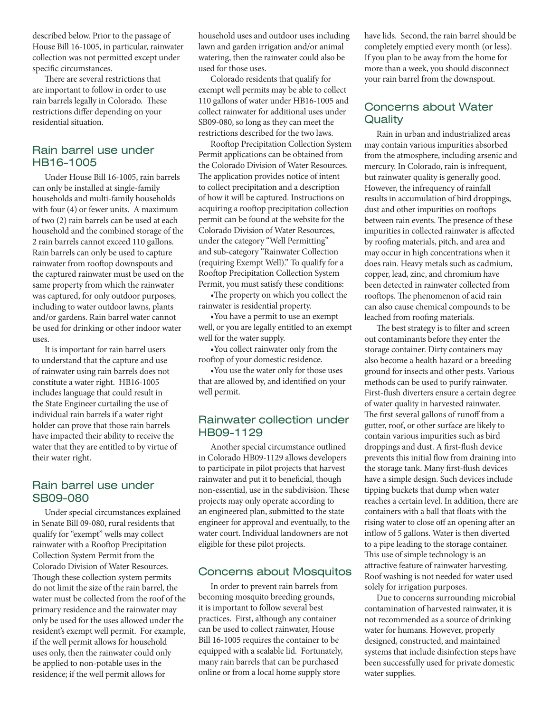described below. Prior to the passage of House Bill 16-1005, in particular, rainwater collection was not permitted except under specific circumstances.

There are several restrictions that are important to follow in order to use rain barrels legally in Colorado. These restrictions differ depending on your residential situation.

#### Rain barrel use under HB16-1005

Under House Bill 16-1005, rain barrels can only be installed at single-family households and multi-family households with four (4) or fewer units. A maximum of two (2) rain barrels can be used at each household and the combined storage of the 2 rain barrels cannot exceed 110 gallons. Rain barrels can only be used to capture rainwater from rooftop downspouts and the captured rainwater must be used on the same property from which the rainwater was captured, for only outdoor purposes, including to water outdoor lawns, plants and/or gardens. Rain barrel water cannot be used for drinking or other indoor water uses.

It is important for rain barrel users to understand that the capture and use of rainwater using rain barrels does not constitute a water right. HB16-1005 includes language that could result in the State Engineer curtailing the use of individual rain barrels if a water right holder can prove that those rain barrels have impacted their ability to receive the water that they are entitled to by virtue of their water right.

#### Rain barrel use under SB09-080

Under special circumstances explained in Senate Bill 09-080, rural residents that qualify for "exempt" wells may collect rainwater with a Rooftop Precipitation Collection System Permit from the Colorado Division of Water Resources. Though these collection system permits do not limit the size of the rain barrel, the water must be collected from the roof of the primary residence and the rainwater may only be used for the uses allowed under the resident's exempt well permit. For example, if the well permit allows for household uses only, then the rainwater could only be applied to non-potable uses in the residence; if the well permit allows for

household uses and outdoor uses including lawn and garden irrigation and/or animal watering, then the rainwater could also be used for those uses.

Colorado residents that qualify for exempt well permits may be able to collect 110 gallons of water under HB16-1005 and collect rainwater for additional uses under SB09-080, so long as they can meet the restrictions described for the two laws.

Rooftop Precipitation Collection System Permit applications can be obtained from the Colorado Division of Water Resources. The application provides notice of intent to collect precipitation and a description of how it will be captured. Instructions on acquiring a rooftop precipitation collection permit can be found at the website for the Colorado Division of Water Resources, under the category "Well Permitting" and sub-category "Rainwater Collection (requiring Exempt Well)." To qualify for a Rooftop Precipitation Collection System Permit, you must satisfy these conditions:

•The property on which you collect the rainwater is residential property.

•You have a permit to use an exempt well, or you are legally entitled to an exempt well for the water supply.

•You collect rainwater only from the rooftop of your domestic residence.

•You use the water only for those uses that are allowed by, and identified on your well permit.

#### Rainwater collection under HB09-1129

Another special circumstance outlined in Colorado HB09-1129 allows developers to participate in pilot projects that harvest rainwater and put it to beneficial, though non-essential, use in the subdivision. These projects may only operate according to an engineered plan, submitted to the state engineer for approval and eventually, to the water court. Individual landowners are not eligible for these pilot projects.

#### Concerns about Mosquitos

In order to prevent rain barrels from becoming mosquito breeding grounds, it is important to follow several best practices. First, although any container can be used to collect rainwater, House Bill 16-1005 requires the container to be equipped with a sealable lid. Fortunately, many rain barrels that can be purchased online or from a local home supply store

have lids. Second, the rain barrel should be completely emptied every month (or less). If you plan to be away from the home for more than a week, you should disconnect your rain barrel from the downspout.

#### Concerns about Water **Quality**

Rain in urban and industrialized areas may contain various impurities absorbed from the atmosphere, including arsenic and mercury. In Colorado, rain is infrequent, but rainwater quality is generally good. However, the infrequency of rainfall results in accumulation of bird droppings, dust and other impurities on rooftops between rain events. The presence of these impurities in collected rainwater is affected by roofing materials, pitch, and area and may occur in high concentrations when it does rain. Heavy metals such as cadmium, copper, lead, zinc, and chromium have been detected in rainwater collected from rooftops. The phenomenon of acid rain can also cause chemical compounds to be leached from roofing materials.

The best strategy is to filter and screen out contaminants before they enter the storage container. Dirty containers may also become a health hazard or a breeding ground for insects and other pests. Various methods can be used to purify rainwater. First-flush diverters ensure a certain degree of water quality in harvested rainwater. The first several gallons of runoff from a gutter, roof, or other surface are likely to contain various impurities such as bird droppings and dust. A first-flush device prevents this initial flow from draining into the storage tank. Many first-flush devices have a simple design. Such devices include tipping buckets that dump when water reaches a certain level. In addition, there are containers with a ball that floats with the rising water to close off an opening after an inflow of 5 gallons. Water is then diverted to a pipe leading to the storage container. This use of simple technology is an attractive feature of rainwater harvesting. Roof washing is not needed for water used solely for irrigation purposes.

Due to concerns surrounding microbial contamination of harvested rainwater, it is not recommended as a source of drinking water for humans. However, properly designed, constructed, and maintained systems that include disinfection steps have been successfully used for private domestic water supplies.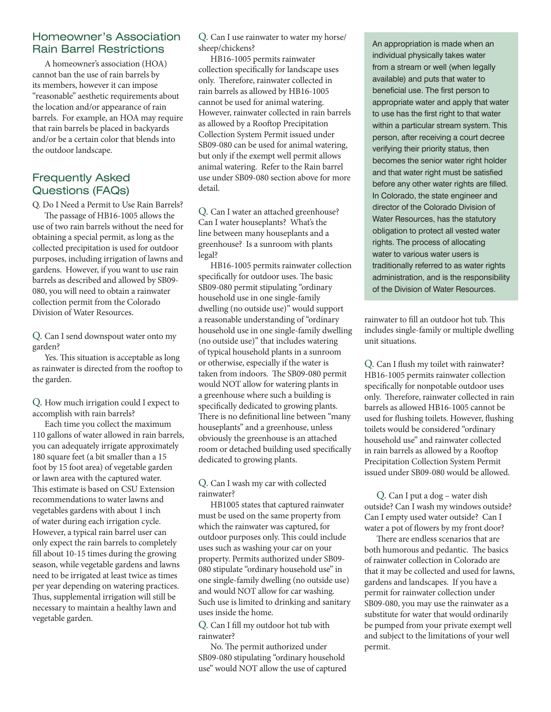#### Homeowner's Association Rain Barrel Restrictions

A homeowner's association (HOA) cannot ban the use of rain barrels by its members, however it can impose "reasonable" aesthetic requirements about the location and/or appearance of rain barrels. For example, an HOA may require that rain barrels be placed in backyards and/or be a certain color that blends into the outdoor landscape.

# Frequently Asked Questions (FAQs)

Q. Do I Need a Permit to Use Rain Barrels?

The passage of HB16-1005 allows the use of two rain barrels without the need for obtaining a special permit, as long as the collected precipitation is used for outdoor purposes, including irrigation of lawns and gardens. However, if you want to use rain barrels as described and allowed by SB09- 080, you will need to obtain a rainwater collection permit from the Colorado Division of Water Resources.

Q. Can I send downspout water onto my garden?

Yes. This situation is acceptable as long as rainwater is directed from the rooftop to the garden.

Q. How much irrigation could I expect to accomplish with rain barrels?

Each time you collect the maximum 110 gallons of water allowed in rain barrels, you can adequately irrigate approximately 180 square feet (a bit smaller than a 15 foot by 15 foot area) of vegetable garden or lawn area with the captured water. This estimate is based on CSU Extension recommendations to water lawns and vegetables gardens with about 1 inch of water during each irrigation cycle. However, a typical rain barrel user can only expect the rain barrels to completely fill about 10-15 times during the growing season, while vegetable gardens and lawns need to be irrigated at least twice as times per year depending on watering practices. Thus, supplemental irrigation will still be necessary to maintain a healthy lawn and vegetable garden.

Q. Can I use rainwater to water my horse/ sheep/chickens?

HB16-1005 permits rainwater collection specifically for landscape uses only. Therefore, rainwater collected in rain barrels as allowed by HB16-1005 cannot be used for animal watering. However, rainwater collected in rain barrels as allowed by a Rooftop Precipitation Collection System Permit issued under SB09-080 can be used for animal watering, but only if the exempt well permit allows animal watering. Refer to the Rain barrel use under SB09-080 section above for more detail.

Q. Can I water an attached greenhouse? Can I water houseplants? What's the line between many houseplants and a greenhouse? Is a sunroom with plants legal?

HB16-1005 permits rainwater collection specifically for outdoor uses. The basic SB09-080 permit stipulating "ordinary household use in one single-family dwelling (no outside use)" would support a reasonable understanding of "ordinary household use in one single-family dwelling (no outside use)" that includes watering of typical household plants in a sunroom or otherwise, especially if the water is taken from indoors. The SB09-080 permit would NOT allow for watering plants in a greenhouse where such a building is specifically dedicated to growing plants. There is no definitional line between "many houseplants" and a greenhouse, unless obviously the greenhouse is an attached room or detached building used specifically dedicated to growing plants.

Q. Can I wash my car with collected rainwater?

HB1005 states that captured rainwater must be used on the same property from which the rainwater was captured, for outdoor purposes only. This could include uses such as washing your car on your property. Permits authorized under SB09- 080 stipulate "ordinary household use" in one single-family dwelling (no outside use) and would NOT allow for car washing. Such use is limited to drinking and sanitary uses inside the home.

Q. Can I fill my outdoor hot tub with rainwater?

No. The permit authorized under SB09-080 stipulating "ordinary household use" would NOT allow the use of captured An appropriation is made when an individual physically takes water from a stream or well (when legally available) and puts that water to beneficial use. The first person to appropriate water and apply that water to use has the first right to that water within a particular stream system. This person, after receiving a court decree verifying their priority status, then becomes the senior water right holder and that water right must be satisfied before any other water rights are filled. In Colorado, the state engineer and director of the Colorado Division of Water Resources, has the statutory obligation to protect all vested water rights. The process of allocating water to various water users is traditionally referred to as water rights administration, and is the responsibility of the Division of Water Resources.

rainwater to fill an outdoor hot tub. This includes single-family or multiple dwelling unit situations.

Q. Can I flush my toilet with rainwater? HB16-1005 permits rainwater collection specifically for nonpotable outdoor uses only. Therefore, rainwater collected in rain barrels as allowed HB16-1005 cannot be used for flushing toilets. However, flushing toilets would be considered "ordinary household use" and rainwater collected in rain barrels as allowed by a Rooftop Precipitation Collection System Permit issued under SB09-080 would be allowed.

Q. Can I put a dog – water dish outside? Can I wash my windows outside? Can I empty used water outside? Can I water a pot of flowers by my front door?

There are endless scenarios that are both humorous and pedantic. The basics of rainwater collection in Colorado are that it may be collected and used for lawns, gardens and landscapes. If you have a permit for rainwater collection under SB09-080, you may use the rainwater as a substitute for water that would ordinarily be pumped from your private exempt well and subject to the limitations of your well permit.